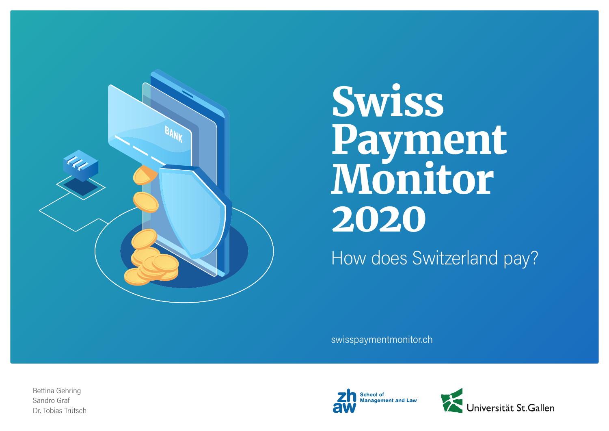

# Swiss Payment Monitor 2020

How does Switzerland pay?

swisspaymentmonitor.ch

Bettina Gehring Sandro Graf Dr. Tobias Trütsch



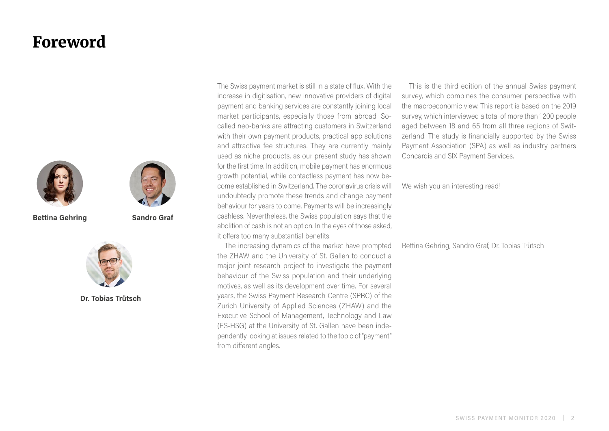### Foreword





**Bettina Gehring Sandro Graf**



**Dr. Tobias Trütsch**

The Swiss payment market is still in a state of flux. With the increase in digitisation, new innovative providers of digital payment and banking services are constantly joining local market participants, especially those from abroad. Socalled neo-banks are attracting customers in Switzerland with their own payment products, practical app solutions and attractive fee structures. They are currently mainly used as niche products, as our present study has shown for the first time. In addition, mobile payment has enormous growth potential, while contactless payment has now become established in Switzerland. The coronavirus crisis will undoubtedly promote these trends and change payment behaviour for years to come. Payments will be increasingly cashless. Nevertheless, the Swiss population says that the abolition of cash is not an option. In the eyes of those asked, it offers too many substantial benefits.

The increasing dynamics of the market have prompted the ZHAW and the University of St. Gallen to conduct a major joint research project to investigate the payment behaviour of the Swiss population and their underlying motives, as well as its development over time. For several years, the Swiss Payment Research Centre (SPRC) of the Zurich University of Applied Sciences (ZHAW) and the Executive School of Management, Technology and Law (ES-HSG) at the University of St. Gallen have been independently looking at issues related to the topic of "payment" from different angles.

This is the third edition of the annual Swiss payment survey, which combines the consumer perspective with the macroeconomic view. This report is based on the 2019 survey, which interviewed a total of more than 1200 people aged between 18 and 65 from all three regions of Switzerland. The study is financially supported by the Swiss Payment Association (SPA) as well as industry partners Concardis and SIX Payment Services.

We wish you an interesting read!

#### Bettina Gehring, Sandro Graf, Dr. Tobias Trütsch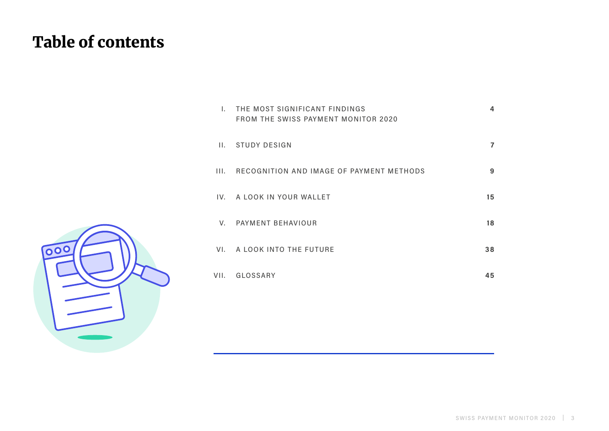# Table of contents

| Ι.   | THE MOST SIGNIFICANT FINDINGS<br>FROM THE SWISS PAYMENT MONITOR 2020 | 4  |
|------|----------------------------------------------------------------------|----|
| Н.   | <b>STUDY DESIGN</b>                                                  | 7  |
| III. | RECOGNITION AND IMAGE OF PAYMENT METHODS                             | 9  |
|      | IV. A LOOK IN YOUR WALLET                                            | 15 |
| V.   | PAYMENT BEHAVIOUR                                                    | 18 |
|      | VI. A LOOK INTO THE FUTURE                                           | 38 |
|      | VII. GLOSSARY                                                        | 45 |
|      |                                                                      |    |

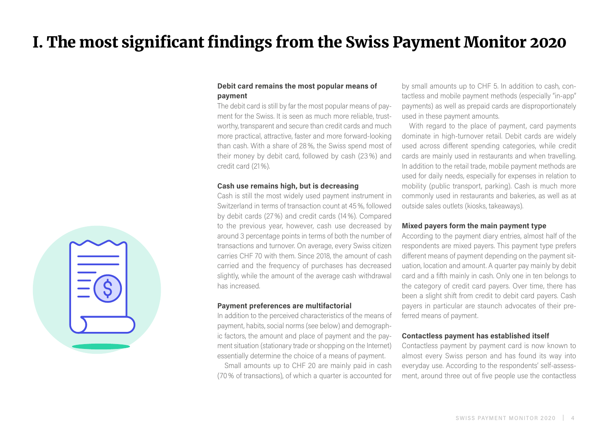# I. The most significant findings from the Swiss Payment Monitor 2020

#### **Debit card remains the most popular means of payment**

The debit card is still by far the most popular means of payment for the Swiss. It is seen as much more reliable, trustworthy, transparent and secure than credit cards and much more practical, attractive, faster and more forward-looking than cash. With a share of 28%, the Swiss spend most of their money by debit card, followed by cash (23%) and credit card (21 %).

#### **Cash use remains high, but is decreasing**

Cash is still the most widely used payment instrument in Switzerland in terms of transaction count at 45 %, followed by debit cards (27%) and credit cards (14%). Compared to the previous year, however, cash use decreased by around 3 percentage points in terms of both the number of transactions and turnover. On average, every Swiss citizen carries CHF 70 with them. Since 2018, the amount of cash carried and the frequency of purchases has decreased slightly, while the amount of the average cash withdrawal has increased.

#### **Payment preferences are multifactorial**

In addition to the perceived characteristics of the means of payment, habits, social norms (see below) and demographic factors, the amount and place of payment and the payment situation (stationary trade or shopping on the Internet) essentially determine the choice of a means of payment.

Small amounts up to CHF 20 are mainly paid in cash (70 % of transactions), of which a quarter is accounted for

by small amounts up to CHF 5. In addition to cash, contactless and mobile payment methods (especially "in-app" payments) as well as prepaid cards are disproportionately used in these payment amounts.

With regard to the place of payment, card payments dominate in high-turnover retail. Debit cards are widely used across different spending categories, while credit cards are mainly used in restaurants and when travelling. In addition to the retail trade, mobile payment methods are used for daily needs, especially for expenses in relation to mobility (public transport, parking). Cash is much more commonly used in restaurants and bakeries, as well as at outside sales outlets (kiosks, takeaways).

#### **Mixed payers form the main payment type**

According to the payment diary entries, almost half of the respondents are mixed payers. This payment type prefers different means of payment depending on the payment situation, location and amount. A quarter pay mainly by debit card and a fifth mainly in cash. Only one in ten belongs to the category of credit card payers. Over time, there has been a slight shift from credit to debit card payers. Cash payers in particular are staunch advocates of their preferred means of payment.

#### **Contactless payment has established itself**

Contactless payment by payment card is now known to almost every Swiss person and has found its way into everyday use. According to the respondents' self-assessment, around three out of five people use the contactless

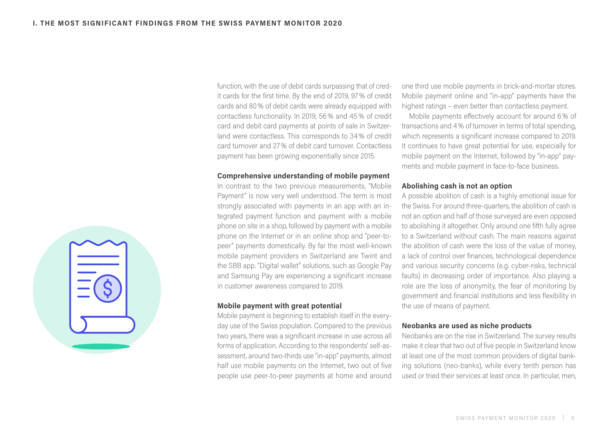function, with the use of debit cards surpassing that of credit cards for the first time. By the end of 2019, 97% of credit cards and 80% of debit cards were already equipped with contactless functionality. In 2019, 56% and 45% of credit card and debit card payments at points of sale in Switzerland were contactless. This corresponds to 34% of credit card turnover and 27% of debit card turnover. Contactless payment has been growing exponentially since 2015.

#### **Comprehensive understanding of mobile payment**

In contrast to the two previous measurements, "Mobile Payment" is now very well understood. The term is most strongly associated with payments in an app with an integrated payment function and payment with a mobile phone on site in a shop, followed by payment with a mobile phone on the Internet or in an online shop and "peer-topeer" payments domestically. By far the most well-known mobile payment providers in Switzerland are Twint and the SBB app. "Digital wallet" solutions, such as Google Pay and Samsung Pay are experiencing a significant increase in customer awareness compared to 2019.

#### **Mobile payment with great potential**

Mobile payment is beginning to establish itself in the everyday use of the Swiss population. Compared to the previous two years, there was a significant increase in use across all forms of application. According to the respondents' self-assessment, around two-thirds use "in-app" payments, almost half use mobile payments on the Internet, two out of five people use peer-to-peer payments at home and around one third use mobile payments in brick-and-mortar stores. Mobile payment online and "in-app" payments have the highest ratings – even better than contactless payment.

Mobile payments effectively account for around 6% of transactions and 4% of turnover in terms of total spending, which represents a significant increase compared to 2019. It continues to have great potential for use, especially for mobile payment on the Internet, followed by "in-app" payments and mobile payment in face-to-face business.

#### **Abolishing cash is not an option**

A possible abolition of cash is a highly emotional issue for the Swiss. For around three-quarters, the abolition of cash is not an option and half of those surveyed are even opposed to abolishing it altogether. Only around one fifth fully agree to a Switzerland without cash. The main reasons against the abolition of cash were the loss of the value of money, a lack of control over finances, technological dependence and various security concerns (e.g. cyber-risks, technical faults) in decreasing order of importance. Also playing a role are the loss of anonymity, the fear of monitoring by government and financial institutions and less flexibility in the use of means of payment.

#### **Neobanks are used as niche products**

Neobanks are on the rise in Switzerland. The survey results make it clear that two out of five people in Switzerland know at least one of the most common providers of digital banking solutions (neo-banks), while every tenth person has used or tried their services at least once. In particular, men,

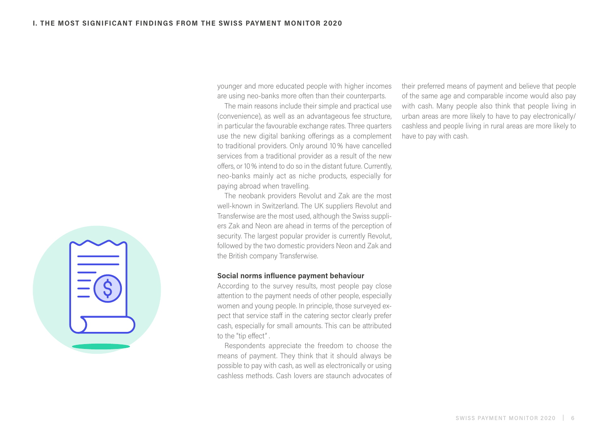younger and more educated people with higher incomes are using neo-banks more often than their counterparts.

The main reasons include their simple and practical use (convenience), as well as an advantageous fee structure, in particular the favourable exchange rates. Three quarters use the new digital banking offerings as a complement to traditional providers. Only around 10% have cancelled services from a traditional provider as a result of the new offers, or 10% intend to do so in the distant future. Currently, neo-banks mainly act as niche products, especially for paying abroad when travelling.

The neobank providers Revolut and Zak are the most well-known in Switzerland. The UK suppliers Revolut and Transferwise are the most used, although the Swiss suppliers Zak and Neon are ahead in terms of the perception of security. The largest popular provider is currently Revolut, followed by the two domestic providers Neon and Zak and the British company Transferwise.

#### **Social norms influence payment behaviour**

According to the survey results, most people pay close attention to the payment needs of other people, especially women and young people. In principle, those surveyed expect that service staff in the catering sector clearly prefer cash, especially for small amounts. This can be attributed to the "tip effect" .

Respondents appreciate the freedom to choose the means of payment. They think that it should always be possible to pay with cash, as well as electronically or using cashless methods. Cash lovers are staunch advocates of their preferred means of payment and believe that people of the same age and comparable income would also pay with cash. Many people also think that people living in urban areas are more likely to have to pay electronically/ cashless and people living in rural areas are more likely to have to pay with cash.

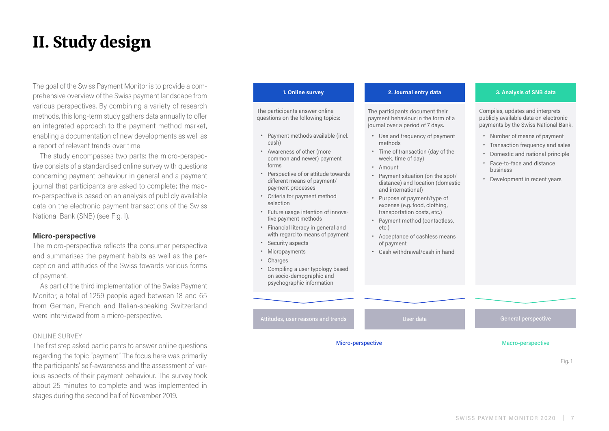# II. Study design

The goal of the Swiss Payment Monitor is to provide a comprehensive overview of the Swiss payment landscape from various perspectives. By combining a variety of research methods, this long-term study gathers data annually to offer an integrated approach to the payment method market, enabling a documentation of new developments as well as a report of relevant trends over time.

The study encompasses two parts: the micro-perspective consists of a standardised online survey with questions concerning payment behaviour in general and a payment journal that participants are asked to complete; the macro-perspective is based on an analysis of publicly available data on the electronic payment transactions of the Swiss National Bank (SNB) (see Fig. 1).

#### **Micro-perspective**

The micro-perspective reflects the consumer perspective and summarises the payment habits as well as the perception and attitudes of the Swiss towards various forms of payment.

As part of the third implementation of the Swiss Payment Monitor, a total of 1259 people aged between 18 and 65 from German, French and Italian-speaking Switzerland were interviewed from a micro-perspective.

#### ONLINE SURVEY

The first step asked participants to answer online questions regarding the topic "payment". The focus here was primarily the participants' self-awareness and the assessment of various aspects of their payment behaviour. The survey took about 25 minutes to complete and was implemented in stages during the second half of November 2019.

The participants answer online questions on the following topics:

- **̟** Payment methods available (incl. cash)
- **̟** Awareness of other (more common and newer) payment forms
- **̟** Perspective of or attitude towards different means of payment/ payment processes
- **̟** Criteria for payment method selection
- **̟** Future usage intention of innovative payment methods
- **̟** Financial literacy in general and with regard to means of payment
- **̟** Security aspects
- **̟** Micropayments
- **̟** Charges
- **̟** Compiling a user typology based on socio-demographic and psychographic information

The participants document their payment behaviour in the form of a journal over a period of 7 days.

- **̟** Use and frequency of payment methods
- **̟** Time of transaction (day of the week, time of day)
- **̟** Amount
- **̟** Payment situation (on the spot/ distance) and location (domestic and international)
- **̟** Purpose of payment/type of expense (e.g. food, clothing, transportation costs, etc.)
- **̟** Payment method (contactless, etc.)
- **̟** Acceptance of cashless means of payment

Attitudes, user reasons and trends User data General perspective

Micro-perspective **Micro-perspective** Macro-perspective

**̟** Cash withdrawal/cash in hand

#### **1. Online survey 2. Journal entry data 3. Analysis of SNB data**

Compiles, updates and interprets publicly available data on electronic payments by the Swiss National Bank.

- **̟** Number of means of payment
- **̟** Transaction frequency and sales
- **̟** Domestic and national principle
- **̟** Face-to-face and distance business
- **̟** Development in recent years

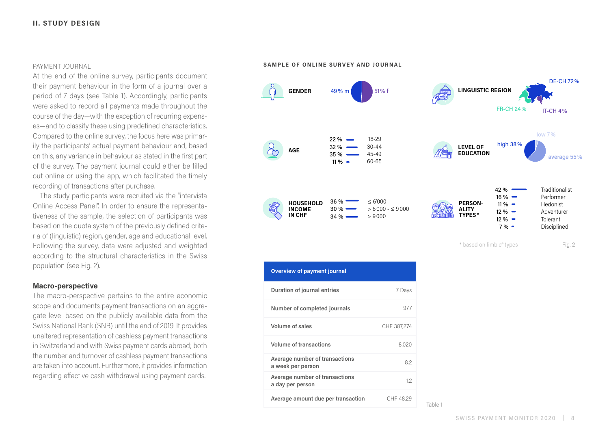#### PAYMENT JOURNAL

At the end of the online survey, participants document their payment behaviour in the form of a journal over a period of 7 days (see Table 1). Accordingly, participants were asked to record all payments made throughout the course of the day—with the exception of recurring expenses—and to classify these using predefined characteristics. Compared to the online survey, the focus here was primarily the participants' actual payment behaviour and, based on this, any variance in behaviour as stated in the first part of the survey. The payment journal could either be filled out online or using the app, which facilitated the timely recording of transactions after purchase.

The study participants were recruited via the "intervista Online Access Panel". In order to ensure the representativeness of the sample, the selection of participants was based on the quota system of the previously defined criteria of (linguistic) region, gender, age and educational level. Following the survey, data were adjusted and weighted according to the structural characteristics in the Swiss population (see Fig. 2).

#### **Macro-perspective**

The macro-perspective pertains to the entire economic scope and documents payment transactions on an aggregate level based on the publicly available data from the Swiss National Bank (SNB) until the end of 2019. It provides unaltered representation of cashless payment transactions in Switzerland and with Swiss payment cards abroad; both the number and turnover of cashless payment transactions are taken into account. Furthermore, it provides information regarding effective cash withdrawal using payment cards.

**SAMPLE OF ONLINE SURVEY AND JOURNAL**



| <b>Overview of payment journal</b>                  |             |
|-----------------------------------------------------|-------------|
| Duration of journal entries                         | 7 Days      |
| Number of completed journals                        | 977         |
| Volume of sales                                     | CHF 387,274 |
| Volume of transactions                              | 8,020       |
| Average number of transactions<br>a week per person | 8.2         |
| Average number of transactions<br>a day per person  | 1.2         |
| Average amount due per transaction                  | CHF 48.29   |

Table 1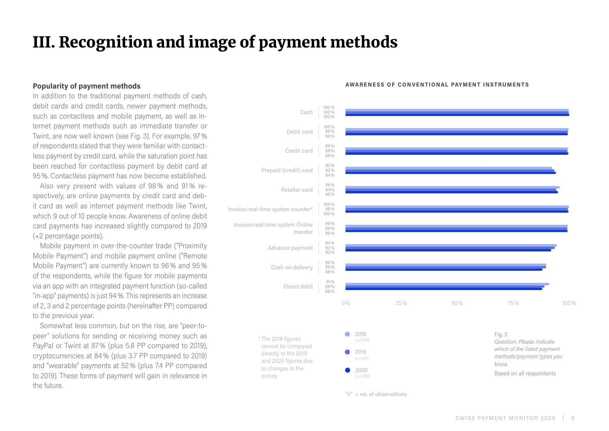# III. Recognition and image of payment methods

#### **Popularity of payment methods**

In addition to the traditional payment methods of cash, debit cards and credit cards, newer payment methods, such as contactless and mobile payment, as well as Internet payment methods such as immediate transfer or Twint, are now well known (see Fig. 3). For example, 97 % of respondents stated that they were familiar with contactless payment by credit card, while the saturation point has been reached for contactless payment by debit card at 95%. Contactless payment has now become established.

Also very present with values of 98 % and 91% respectively, are online payments by credit card and debit card as well as internet payment methods like Twint, which 9 out of 10 people know. Awareness of online debit card payments has increased slightly compared to 2019 (+2 percentage points).

Mobile payment in over-the-counter trade ("Proximity Mobile Payment") and mobile payment online ("Remote Mobile Payment") are currently known to 96% and 95 % of the respondents, while the figure for mobile payments via an app with an integrated payment function (so-called "in-app" payments) is just 94%. This represents an increase of 2, 3 and 2 percentage points (hereinafter PP) compared to the previous year.

Somewhat less common, but on the rise, are "peer-topeer" solutions for sending or receiving money such as PayPal or Twint at 87% (plus 5.8 PP compared to 2019), cryptocurrencies at 84% (plus 3.7 PP compared to 2019) and "wearable" payments at 52% (plus 7.4 PP compared to 2019). These forms of payment will gain in relevance in the future.



#### **AWARENESS OF CONVENTIONAL PAYMENT INSTRUMENTS**

 $\pi''$  = no. of observations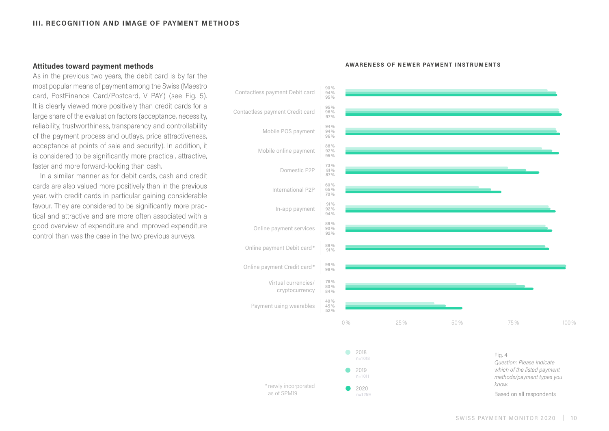#### **Attitudes toward payment methods**

As in the previous two years, the debit card is by far the most popular means of payment among the Swiss (Maestro card, PostFinance Card/Postcard, V PAY) (see Fig. 5). It is clearly viewed more positively than credit cards for a large share of the evaluation factors (acceptance, necessity, reliability, trustworthiness, transparency and controllability of the payment process and outlays, price attractiveness, acceptance at points of sale and security). In addition, it is considered to be significantly more practical, attractive, faster and more forward-looking than cash.

In a similar manner as for debit cards, cash and credit cards are also valued more positively than in the previous year, with credit cards in particular gaining considerable favour. They are considered to be significantly more practical and attractive and are more often associated with a good overview of expenditure and improved expenditure control than was the case in the two previous surveys.

#### **90% 94% 95%** Contactless payment Debit card **95%** Contactless payment Credit card **96% 97% 94%** Mobile POS payment **94% 96% 88%** Mobile online payment **92% 95% 73%** Domestic P2P **81% 87% 60% 65%** International P2P **70% 91% 92%** In-app payment **94% 89%** Online payment services **90% 92% 89%** Online payment Debit card\* **91%** Online payment Credit card\* **99% 98%** Virtual currencies/ **76% 80%** cryptocurrency **84% 40%** Payment using wearables **45% 52%**  $0\%$  25% 50% 75% 75% 100% ● 2018 Fig. 4 n=1 018 *Question: Please indicate*  2019 *which of the listed payment*   $\bullet$ *methods/payment types you*  \* newly incorporated *know.* 2020 as of SPM19 Based on all respondents

#### **AWARENESS OF NEWER PAYMENT INSTRUMENTS**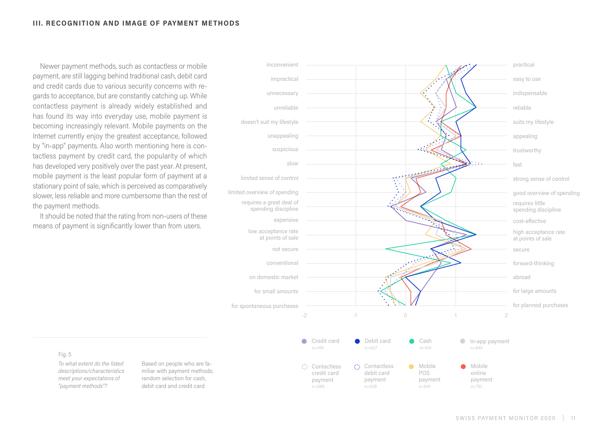Newer payment methods, such as contactless or mobile payment, are still lagging behind traditional cash, debit card and credit cards due to various security concerns with regards to acceptance, but are constantly catching up. While contactless payment is already widely established and has found its way into everyday use, mobile payment is becoming increasingly relevant. Mobile payments on the Internet currently enjoy the greatest acceptance, followed by "in-app" payments. Also worth mentioning here is contactless payment by credit card, the popularity of which has developed very positively over the past year. At present, mobile payment is the least popular form of payment at a stationary point of sale, which is perceived as comparatively slower, less reliable and more cumbersome than the rest of the payment methods.

It should be noted that the rating from non-users of these means of payment is significantly lower than from users.



#### Fig. 5

*To what extent do the listed descriptions/characteristics meet your expectations of "payment methods"?* 

Based on people who are familiar with payment methods; random selection for cash, debit card and credit card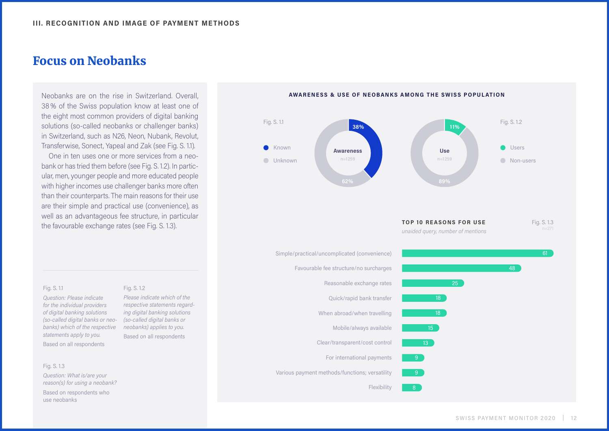### Focus on Neobanks

Neobanks are on the rise in Switzerland. Overall, 38% of the Swiss population know at least one of the eight most common providers of digital banking solutions (so-called neobanks or challenger banks) in Switzerland, such as N26, Neon, Nubank, Revolut, Transferwise, Sonect, Yapeal and Zak (see Fig. S. 1.1).

One in ten uses one or more services from a neobank or has tried them before (see Fig. S. 1.2). In particular, men, younger people and more educated people with higher incomes use challenger banks more often than their counterparts. The main reasons for their use are their simple and practical use (convenience), as well as an advantageous fee structure, in particular the favourable exchange rates (see Fig. S. 1.3).

**/2** Based on all respondents

*Please indicate which of the respective statements regarding digital banking solutions* 

Fig. S. 1.2

#### Fig. S. 1.1

*Question: Please indicate for the individual providers of digital banking solutions (so-called digital banks or neo-(so-called digital banks or banks) which of the respective statements apply to you.*  Based on all respondents *neobanks) applies to you.* 

#### Fig. S. 1.3

*Question: What is/are your reason(s) for using a neobank?*  Based on respondents who use neobanks

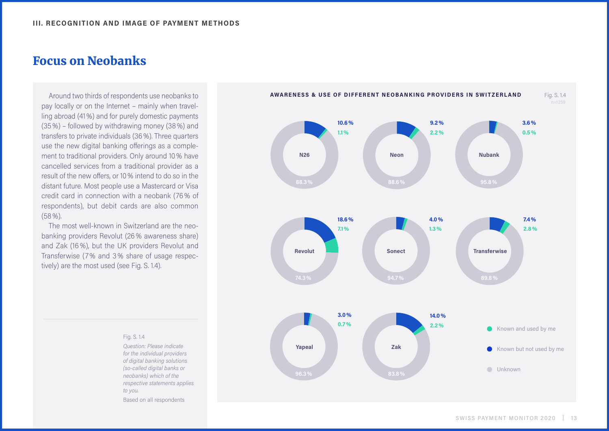### Focus on Neobanks

Around two thirds of respondents use neobanks to pay locally or on the Internet – mainly when travelling abroad (41%) and for purely domestic payments (35%) – followed by withdrawing money (38%) and transfers to private individuals (36%). Three quarters use the new digital banking offerings as a complement to traditional providers. Only around 10% have cancelled services from a traditional provider as a result of the new offers, or 10% intend to do so in the distant future. Most people use a Mastercard or Visa credit card in connection with a neobank (76% of respondents), but debit cards are also common (58%).

The most well-known in Switzerland are the neobanking providers Revolut (26% awareness share) and Zak (16%), but the UK providers Revolut and Transferwise (7% and 3% share of usage respectively) are the most used (see Fig. S. 1.4).

#### Fig. S. 1.4

*Question: Please indicate for the individual providers of digital banking solutions (so-called digital banks or neobanks) which of the respective statements applies to you.*  Based on all respondents

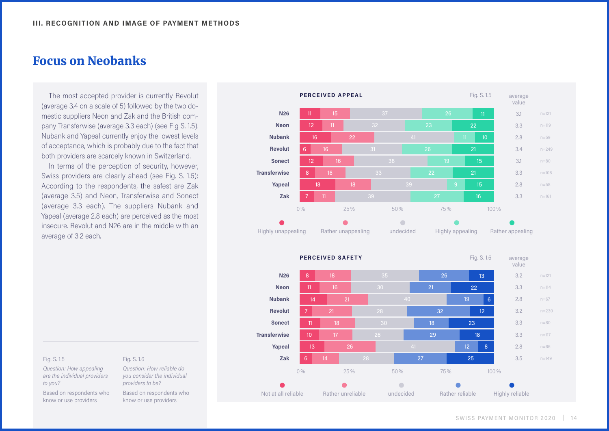### Focus on Neobanks

The most accepted provider is currently Revolut (average 3.4 on a scale of 5) followed by the two domestic suppliers Neon and Zak and the British company Transferwise (average 3.3 each) (see Fig S. 1.5). Nubank and Yapeal currently enjoy the lowest levels of acceptance, which is probably due to the fact that both providers are scarcely known in Switzerland.

In terms of the perception of security, however, Swiss providers are clearly ahead (see Fig. S. 1.6): According to the respondents, the safest are Zak (average 3.5) and Neon, Transferwise and Sonect (average 3.3 each). The suppliers Nubank and Yapeal (average 2.8 each) are perceived as the most insecure. Revolut and N26 are in the middle with an average of 3.2 each.





#### Fig. S. 1.5

*Question: How appealing are the individual providers to you?* 

Based on respondents who know or use providers

#### Fig. S. 1.6

*Question: How reliable do you consider the individual providers to be?*  Based on respondents who know or use providers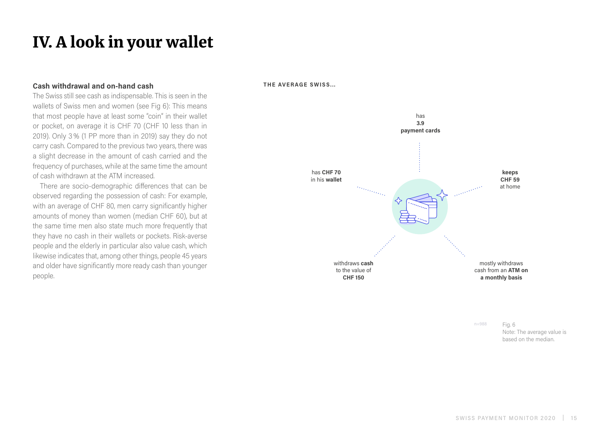# IV. A look in your wallet

#### **Cash withdrawal and on-hand cash**

The Swiss still see cash as indispensable. This is seen in the wallets of Swiss men and women (see Fig 6): This means that most people have at least some "coin" in their wallet or pocket, on average it is CHF 70 (CHF 10 less than in 2019). Only 3% (1 PP more than in 2019) say they do not carry cash. Compared to the previous two years, there was a slight decrease in the amount of cash carried and the frequency of purchases, while at the same time the amount of cash withdrawn at the ATM increased.

There are socio-demographic differences that can be observed regarding the possession of cash: For example, with an average of CHF 80, men carry significantly higher amounts of money than women (median CHF 60), but at the same time men also state much more frequently that they have no cash in their wallets or pockets. Risk-averse people and the elderly in particular also value cash, which likewise indicates that, among other things, people 45 years and older have significantly more ready cash than younger people.

**THE AVERAGE SWISS...**



n=988

Fig. 6 Note: The average value is based on the median.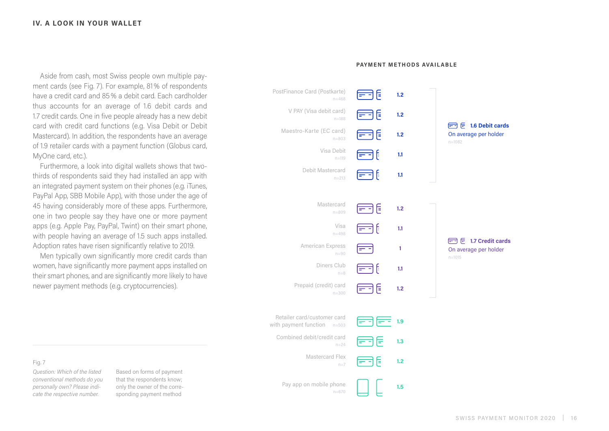Aside from cash, most Swiss people own multiple payment cards (see Fig. 7). For example, 81% of respondents have a credit card and 85% a debit card. Each cardholder thus accounts for an average of 1.6 debit cards and 1.7 credit cards. One in five people already has a new debit card with credit card functions (e.g. Visa Debit or Debit Mastercard). In addition, the respondents have an average of 1.9 retailer cards with a payment function (Globus card, MyOne card, etc.).

Furthermore, a look into digital wallets shows that twothirds of respondents said they had installed an app with an integrated payment system on their phones (e.g. iTunes, PayPal App, SBB Mobile App), with those under the age of 45 having considerably more of these apps. Furthermore, one in two people say they have one or more payment apps (e.g. Apple Pay, PayPal, Twint) on their smart phone, with people having an average of 1.5 such apps installed. Adoption rates have risen significantly relative to 2019.

Men typically own significantly more credit cards than women, have significantly more payment apps installed on their smart phones, and are significantly more likely to have newer payment methods (e.g. cryptocurrencies).

#### **PAYMENT METHODS AVAIL ABLE**



#### Fig. 7

*Question: Which of the listed conventional methods do you personally own? Please indicate the respective number.*

Based on forms of payment that the respondents know; only the owner of the corresponding payment method

SWISS PAYMENT MONITOR 2020 | 16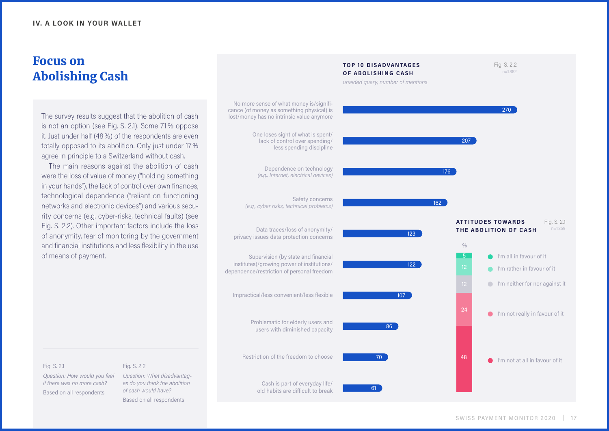### Focus on Abolishing Cash

The survey results suggest that the abolition of cash is not an option (see Fig. S. 2.1). Some 71% oppose it. Just under half (48%) of the respondents are even totally opposed to its abolition. Only just under 17% agree in principle to a Switzerland without cash.

The main reasons against the abolition of cash were the loss of value of money ("holding something in your hands"), the lack of control over own finances, technological dependence ("reliant on functioning networks and electronic devices") and various security concerns (e.g. cyber-risks, technical faults) (see Fig. S. 2.2). Other important factors include the loss of anonymity, fear of monitoring by the government and financial institutions and less flexibility in the use



#### Fig. S. 2.1

*Question: How would you feel if there was no more cash?*  Based on all respondents

#### *Question: What disadvantages do you think the abolition of cash would have?*  Based on all respondents

Fig. S. 2.2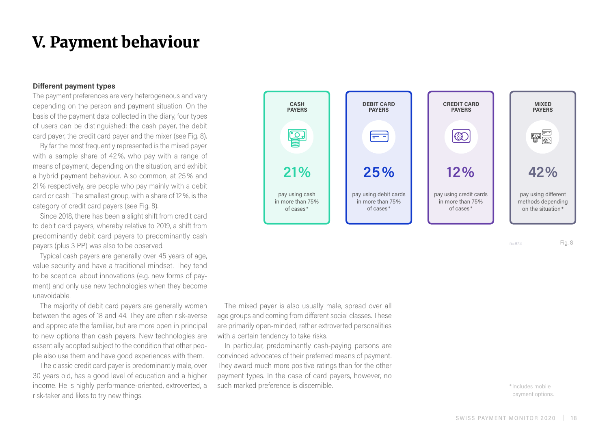## V. Payment behaviour

#### **Different payment types**

The payment preferences are very heterogeneous and vary depending on the person and payment situation. On the basis of the payment data collected in the diary, four types of users can be distinguished: the cash payer, the debit card payer, the credit card payer and the mixer (see Fig. 8).

By far the most frequently represented is the mixed payer with a sample share of 42%, who pay with a range of means of payment, depending on the situation, and exhibit a hybrid payment behaviour. Also common, at 25% and 21 % respectively, are people who pay mainly with a debit card or cash. The smallest group, with a share of 12%, is the category of credit card payers (see Fig. 8).

Since 2018, there has been a slight shift from credit card to debit card payers, whereby relative to 2019, a shift from predominantly debit card payers to predominantly cash payers (plus 3 PP) was also to be observed.

Typical cash payers are generally over 45 years of age, value security and have a traditional mindset. They tend to be sceptical about innovations (e.g. new forms of payment) and only use new technologies when they become unavoidable.

The majority of debit card payers are generally women between the ages of 18 and 44. They are often risk-averse and appreciate the familiar, but are more open in principal to new options than cash payers. New technologies are essentially adopted subject to the condition that other people also use them and have good experiences with them.

The classic credit card payer is predominantly male, over 30 years old, has a good level of education and a higher income. He is highly performance-oriented, extroverted, a risk-taker and likes to try new things.



The mixed payer is also usually male, spread over all age groups and coming from different social classes. These are primarily open-minded, rather extroverted personalities with a certain tendency to take risks.

In particular, predominantly cash-paying persons are convinced advocates of their preferred means of payment. They award much more positive ratings than for the other payment types. In the case of card payers, however, no such marked preference is discernible. The such as  $\ddot{\text{S}}$  is the state of the state of the state  $\ddot{\text{S}}$  includes mobile

payment options.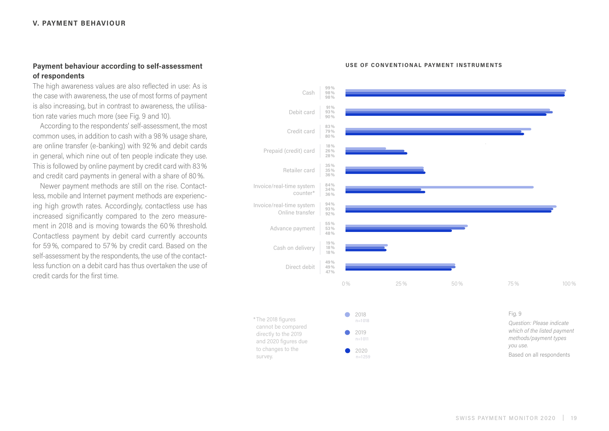#### **Payment behaviour according to self-assessment of respondents**

The high awareness values are also reflected in use: As is the case with awareness, the use of most forms of payment is also increasing, but in contrast to awareness, the utilisation rate varies much more (see Fig. 9 and 10).

According to the respondents' self-assessment, the most common uses, in addition to cash with a 98% usage share, are online transfer (e-banking) with 92% and debit cards in general, which nine out of ten people indicate they use. This is followed by online payment by credit card with 83% and credit card payments in general with a share of 80%.

Newer payment methods are still on the rise. Contactless, mobile and Internet payment methods are experiencing high growth rates. Accordingly, contactless use has increased significantly compared to the zero measurement in 2018 and is moving towards the 60% threshold. Contactless payment by debit card currently accounts for 59%, compared to 57% by credit card. Based on the self-assessment by the respondents, the use of the contactless function on a debit card has thus overtaken the use of credit cards for the first time.



#### **USE OF CONVENTIONAL PAYMENT INSTRUMENTS**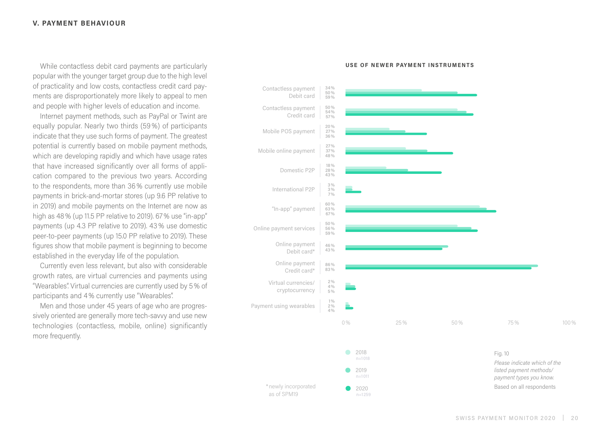#### **V. PAYMENT BEHAVIOUR**

While contactless debit card payments are particularly **USE OF NEWER PAYMENT INSTRUMENTS** popular with the younger target group due to the high level of practicality and low costs, contactless credit card payments are disproportionately more likely to appeal to men and people with higher levels of education and income.

Internet payment methods, such as PayPal or Twint are equally popular. Nearly two thirds (59%) of participants indicate that they use such forms of payment. The greatest potential is currently based on mobile payment methods, which are developing rapidly and which have usage rates that have increased significantly over all forms of application compared to the previous two years. According to the respondents, more than 36% currently use mobile payments in brick-and-mortar stores (up 9.6 PP relative to in 2019) and mobile payments on the Internet are now as high as 48% (up 11.5 PP relative to 2019). 67% use "in-app" payments (up 4.3 PP relative to 2019). 43% use domestic peer-to-peer payments (up 15.0 PP relative to 2019). These figures show that mobile payment is beginning to become established in the everyday life of the population.

Currently even less relevant, but also with considerable growth rates, are virtual currencies and payments using "Wearables". Virtual currencies are currently used by 5% of participants and 4% currently use "Wearables".

Men and those under 45 years of age who are progressively oriented are generally more tech-savvy and use new technologies (contactless, mobile, online) significantly more frequently.

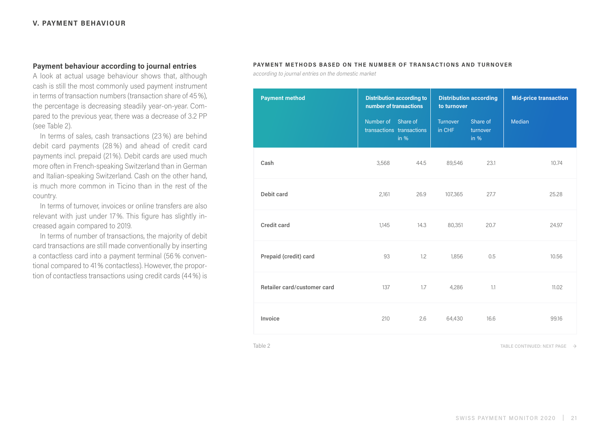#### **Payment behaviour according to journal entries**

A look at actual usage behaviour shows that, although cash is still the most commonly used payment instrument in terms of transaction numbers (transaction share of 45%), the percentage is decreasing steadily year-on-year. Compared to the previous year, there was a decrease of 3.2 PP (see Table 2).

In terms of sales, cash transactions (23%) are behind debit card payments (28%) and ahead of credit card payments incl. prepaid (21%). Debit cards are used much more often in French-speaking Switzerland than in German and Italian-speaking Switzerland. Cash on the other hand, is much more common in Ticino than in the rest of the country.

In terms of turnover, invoices or online transfers are also relevant with just under 17%. This figure has slightly increased again compared to 2019.

In terms of number of transactions, the majority of debit card transactions are still made conventionally by inserting a contactless card into a payment terminal (56% conventional compared to 41% contactless). However, the proportion of contactless transactions using credit cards (44%) is

#### **PAYMENT METHODS BASED ON THE NUMBER OF TRANSACTIONS AND TURNOVER**

*according to journal entries on the domestic market*

| <b>Payment method</b>       | <b>Distribution according to</b><br>number of transactions |        | <b>Distribution according</b><br>to turnover |                                | <b>Mid-price transaction</b> |
|-----------------------------|------------------------------------------------------------|--------|----------------------------------------------|--------------------------------|------------------------------|
|                             | Number of Share of<br>transactions transactions            | in $%$ | Turnover<br>in CHF                           | Share of<br>turnover<br>in $%$ | Median                       |
| Cash                        | 3,568                                                      | 44.5   | 89,546                                       | 23.1                           | 10.74                        |
| Debit card                  | 2,161                                                      | 26.9   | 107,365                                      | 27.7                           | 25.28                        |
| <b>Credit card</b>          | 1,145                                                      | 14.3   | 80,351                                       | 20.7                           | 24.97                        |
| Prepaid (credit) card       | 93                                                         | 1.2    | 1,856                                        | 0.5                            | 10.56                        |
| Retailer card/customer card | 137                                                        | 1.7    | 4,286                                        | 1.1                            | 11.02                        |
| Invoice                     | 210                                                        | 2.6    | 64,430                                       | 16.6                           | 99.16                        |

Table 2 TABLE CONTINUED: NEXT PAGE **→**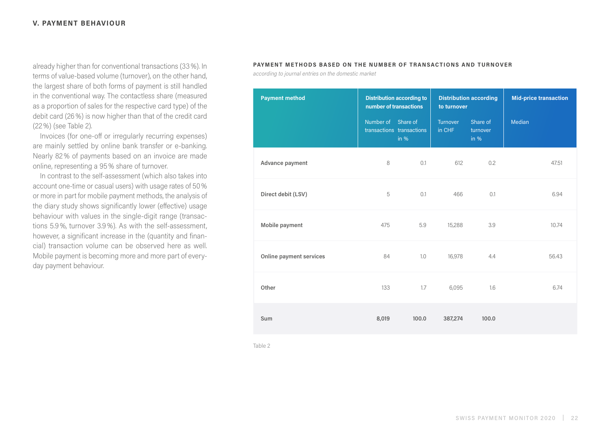#### **V. PAYMENT BEHAVIOUR**

already higher than for conventional transactions (33%). In terms of value-based volume (turnover), on the other hand, the largest share of both forms of payment is still handled in the conventional way. The contactless share (measured as a proportion of sales for the respective card type) of the debit card (26%) is now higher than that of the credit card (22%) (see Table 2).

Invoices (for one-off or irregularly recurring expenses) are mainly settled by online bank transfer or e-banking. Nearly 82% of payments based on an invoice are made online, representing a 95% share of turnover.

In contrast to the self-assessment (which also takes into account one-time or casual users) with usage rates of 50% or more in part for mobile payment methods, the analysis of the diary study shows significantly lower (effective) usage behaviour with values in the single-digit range (transactions 5.9%, turnover 3.9%). As with the self-assessment, however, a significant increase in the (quantity and financial) transaction volume can be observed here as well. Mobile payment is becoming more and more part of everyday payment behaviour.

#### **PAYMENT METHODS BASED ON THE NUMBER OF TRANSACTIONS AND TURNOVER**

*according to journal entries on the domestic market*

| <b>Payment method</b>   | <b>Distribution according to</b><br>number of transactions |        | <b>Distribution according</b><br>to turnover |                                | <b>Mid-price transaction</b> |
|-------------------------|------------------------------------------------------------|--------|----------------------------------------------|--------------------------------|------------------------------|
|                         | Number of Share of<br>transactions transactions            | in $%$ | Turnover<br>in CHF                           | Share of<br>turnover<br>in $%$ | <b>Median</b>                |
| Advance payment         | 8                                                          | 0.1    | 612                                          | 0.2                            | 47.51                        |
| Direct debit (LSV)      | 5                                                          | 0.1    | 466                                          | 0.1                            | 6.94                         |
| Mobile payment          | 475                                                        | 5.9    | 15,288                                       | 3.9                            | 10.74                        |
| Online payment services | 84                                                         | 1.0    | 16,978                                       | 4.4                            | 56.43                        |
| Other                   | 133                                                        | 1.7    | 6,095                                        | 1.6                            | 6.74                         |
| Sum                     | 8,019                                                      | 100.0  | 387,274                                      | 100.0                          |                              |

Table 2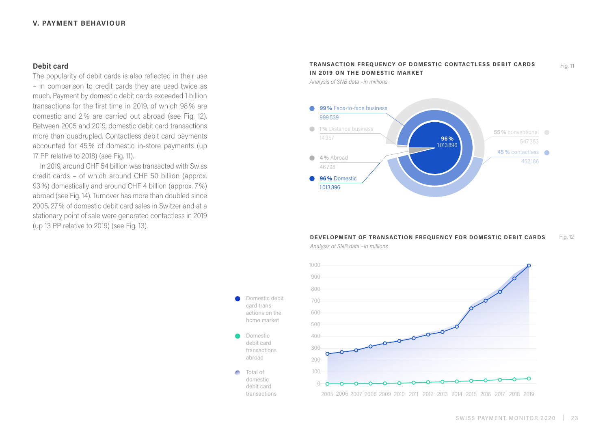#### **V. PAYMENT BEHAVIOUR**

#### **Debit card**

The popularity of debit cards is also reflected in their use – in comparison to credit cards they are used twice as much. Payment by domestic debit cards exceeded 1 billion transactions for the first time in 2019, of which 98% are domestic and 2% are carried out abroad (see Fig. 12). Between 2005 and 2019, domestic debit card transactions more than quadrupled. Contactless debit card payments accounted for 45% of domestic in-store payments (up 17 PP relative to 2018) (see Fig. 11).

In 2019, around CHF 54 billion was transacted with Swiss credit cards – of which around CHF 50 billion (approx. 93%) domestically and around CHF 4 billion (approx. 7%) abroad (see Fig. 14). Turnover has more than doubled since 2005. 27% of domestic debit card sales in Switzerland at a stationary point of sale were generated contactless in 2019 (up 13 PP relative to 2019) (see Fig. 13).

#### **TRANSACTION FREQUENCY OF DOMESTIC CONTACTLESS DEBIT CARDS IN 2019 ON THE DOMESTIC MARKET**

*Analysis of SNB data –in millions*



#### Fig. 12 **DEVELOPMENT OF TRANSACTION FREQUENCY FOR DOMESTIC DEBIT CARDS**

*Analysis of SNB data –in millions*



**O** Domestic debit card transactions on the home market Domestic debit card

> transactions abroad

Total of ۰ domestic debit card transactions Fig. 11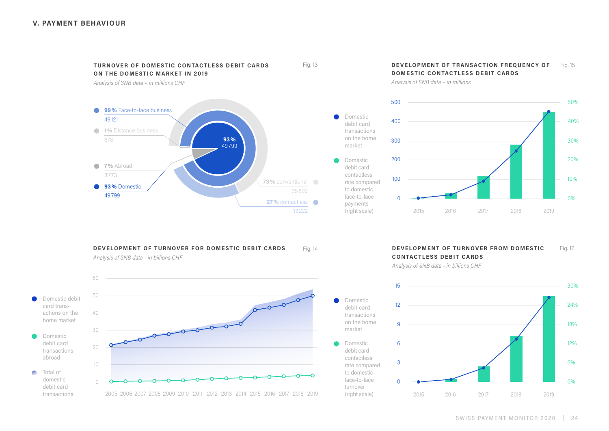**TURNOVER OF DOMESTIC CONTACTLESS DEBIT CARDS ON THE DOMESTIC MARKET IN 2019**

*Analysis of SNB data – in millions CHF*



Fig. 13

market

Fig. 14

#### $\texttt{DEVELOPMENT}$  of TRANSACTION FREQUENCY OF Fig. 15 **DOMESTIC CONTACTLESS DEBIT CARDS**

*Analysis of SNB data – in millions*



#### Fig. 16 **DEVELOPMENT OF TURNOVER FROM DOMESTIC CONTACTLESS DEBIT CARDS**

*Analysis of SNB data - in billions CHF* 



### **DEVELOPMENT OF TURNOVER FOR DOMESTIC DEBIT CARDS**



*Analysis of SNB data - in billions CHF*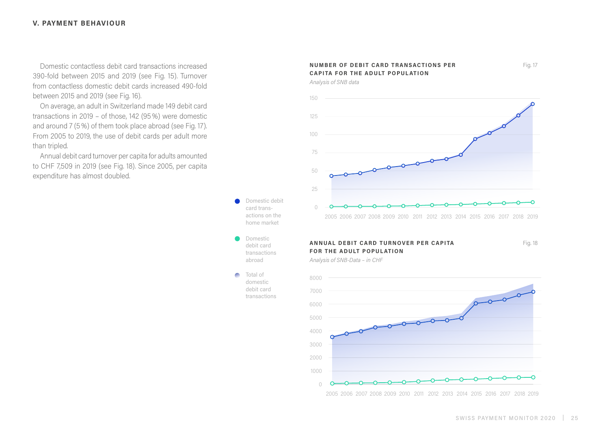#### **V. PAYMENT BEHAVIOUR**

Domestic contactless debit card transactions increased 390-fold between 2015 and 2019 (see Fig. 15). Turnover from contactless domestic debit cards increased 490-fold between 2015 and 2019 (see Fig. 16).

On average, an adult in Switzerland made 149 debit card transactions in 2019 – of those, 142 (95%) were domestic and around 7 (5%) of them took place abroad (see Fig. 17). From 2005 to 2019, the use of debit cards per adult more than tripled.

Annual debit card turnover per capita for adults amounted to CHF 7,509 in 2019 (see Fig. 18). Since 2005, per capita expenditure has almost doubled.

#### **NUMBER OF DEBIT CARD TRANSACTIONS PER CAPITA FOR THE ADULT POPUL ATION**

*Analysis of SNB data*



- **O** Domestic debit card transactions on the home market
- Domestic debit card transactions abroad

Total of ≏ domestic debit card transactions **ANNUAL DEBIT CARD TURNOVER PER CAPITA FOR THE ADULT POPUL ATION**

Fig. 18

Fig. 17

*Analysis of SNB-Data – in CHF* 



2005 2006 2007 2008 2009 2010 2011 2012 2013 2014 2015 2016 2017 2018 2019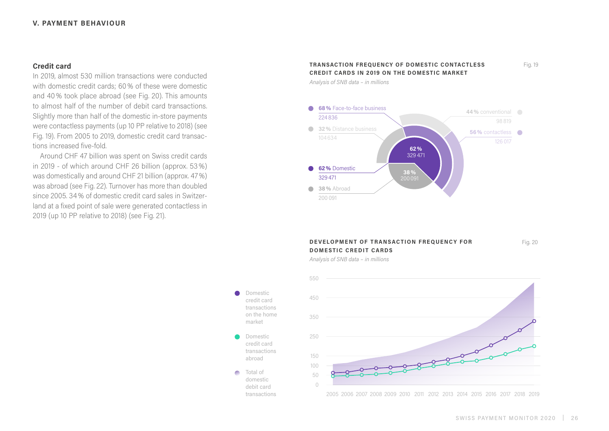#### **V. PAYMENT BEHAVIOUR**

#### **Credit card**

In 2019, almost 530 million transactions were conducted with domestic credit cards; 60% of these were domestic and 40% took place abroad (see Fig. 20). This amounts to almost half of the number of debit card transactions. Slightly more than half of the domestic in-store payments were contactless payments (up 10 PP relative to 2018) (see Fig. 19). From 2005 to 2019, domestic credit card transactions increased five-fold.

Around CHF 47 billion was spent on Swiss credit cards in 2019 - of which around CHF 26 billion (approx. 53%) was domestically and around CHF 21 billion (approx. 47%) was abroad (see Fig. 22). Turnover has more than doubled since 2005. 34% of domestic credit card sales in Switzerland at a fixed point of sale were generated contactless in 2019 (up 10 PP relative to 2018) (see Fig. 21).

#### **TRANSACTION FREQUENCY OF DOMESTIC CONTACTLESS CREDIT CARDS IN 2019 ON THE DOMESTIC MARKET**

*Analysis of SNB data – in millions*



#### **DEVELOPMENT OF TRANSACTION FREQUENCY FOR DOMESTIC CREDIT CARDS**

Fig. 20

Fig. 19

*Analysis of SNB data – in millions*

 $\bigcap$ 50 150 250 350 450 550 100 2005 2006 2007 2008 2009 2010 2011 2012 2013 2014 2015 2016 2017 2018 2019



transactions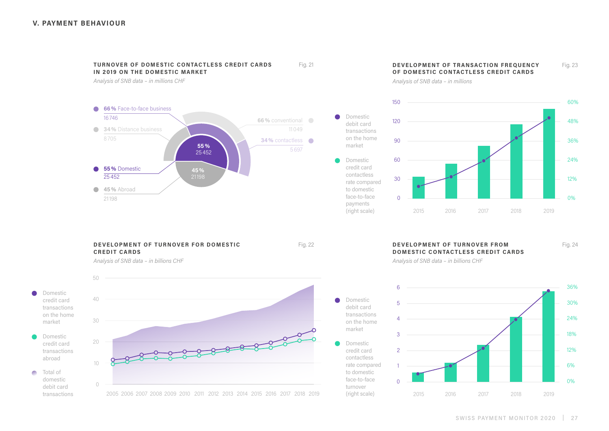#### **TURNOVER OF DOMESTIC CONTACTLESS CREDIT CARDS IN 2019 ON THE DOMESTIC MARKET**

*Analysis of SNB data – in millions CHF*



#### **DEVELOPMENT OF TURNOVER FOR DOMESTIC CREDIT CARDS**

Fig. 21

#### **DEVELOPMENT OF TRANSACTION FREQUENCY OF DOMESTIC CONTACTLESS CREDIT CARDS** Fig. 23

*Analysis of SNB data – in millions*



#### Fig. 22 Fig. 24 **DEVELOPMENT OF TURNOVER FROM DOMESTIC CONTACTLESS CREDIT CARDS**

*Analysis of SNB data – in billions CHF* 



*Analysis of SNB data – in billions CHF*

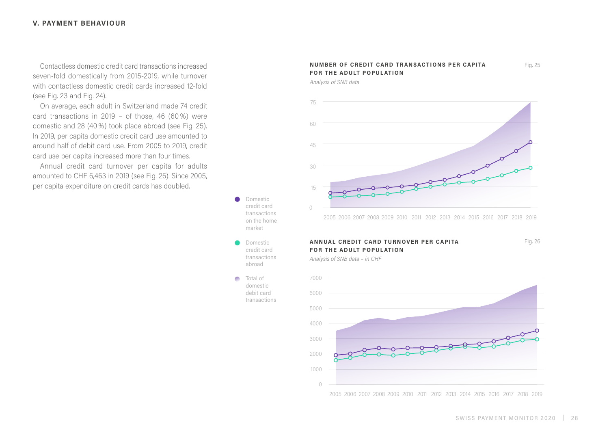#### **V. PAYMENT BEHAVIOUR**

Contactless domestic credit card transactions increased seven-fold domestically from 2015-2019, while turnover with contactless domestic credit cards increased 12-fold (see Fig. 23 and Fig. 24).

On average, each adult in Switzerland made 74 credit card transactions in 2019 – of those, 46 (60%) were domestic and 28 (40%) took place abroad (see Fig. 25). In 2019, per capita domestic credit card use amounted to around half of debit card use. From 2005 to 2019, credit card use per capita increased more than four times.

Annual credit card turnover per capita for adults amounted to CHF 6,463 in 2019 (see Fig. 26). Since 2005, per capita expenditure on credit cards has doubled.

#### **NUMBER OF CREDIT CARD TRANSACTIONS PER CAPITA FOR THE ADULT POPUL ATION**

*Analysis of SNB data*

Domestic credit card transactions on the home market

Domestic credit card transactions abroad Total of domestic debit card transactions

 $\sqrt{2}$ 



#### **ANNUAL CREDIT CARD TURNOVER PER CAPITA FOR THE ADULT POPUL ATION**

Fig. 26

Fig. 25

*Analysis of SNB data – in CHF*



SWISS PAYMENT MONITOR 2020 | 28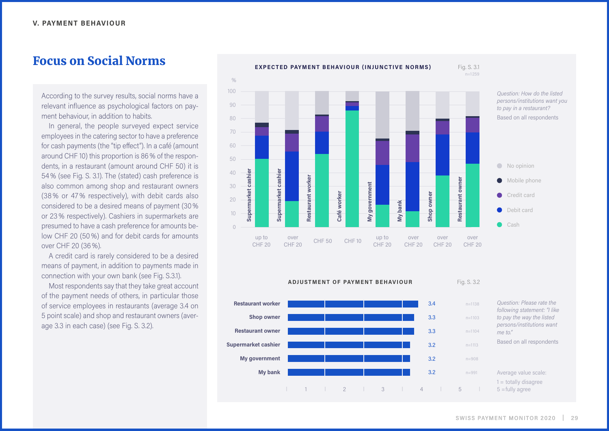### Focus on Social Norms

According to the survey results, social norms have a relevant influence as psychological factors on payment behaviour, in addition to habits.

In general, the people surveyed expect service employees in the catering sector to have a preference for cash payments (the "tip effect"). In a café (amount around CHF 10) this proportion is 86% of the respondents, in a restaurant (amount around CHF 50) it is 54 % (see Fig. S. 3.1). The (stated) cash preference is also common among shop and restaurant owners (38% or 47% respectively), with debit cards also considered to be a desired means of payment (30 % or 23% respectively). Cashiers in supermarkets are presumed to have a cash preference for amounts below CHF 20 (50%) and for debit cards for amounts over CHF 20 (36 %).

A credit card is rarely considered to be a desired means of payment, in addition to payments made in connection with your own bank (see Fig. S.3.1).

Most respondents say that they take great account of the payment needs of others, in particular those of service employees in restaurants (average 3.4 on 5 point scale) and shop and restaurant owners (average 3.3 in each case) (see Fig. S. 3.2).



**ADJUSTMENT OF PAYMENT BEHAVIOUR** Fig. S. 3.2

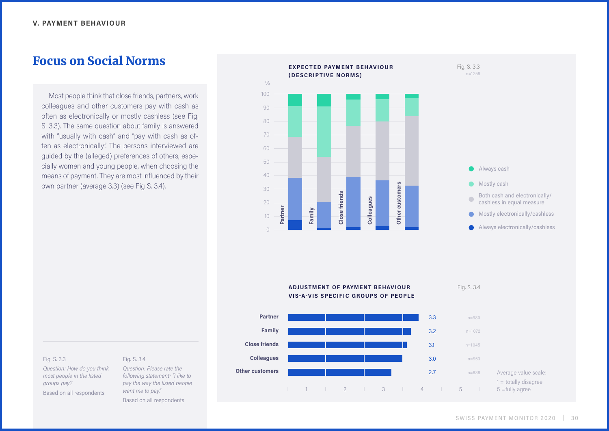### Focus on Social Norms

Most people think that close friends, partners, work colleagues and other customers pay with cash as often as electronically or mostly cashless (see Fig. S. 3.3). The same question about family is answered with "usually with cash" and "pay with cash as often as electronically". The persons interviewed are guided by the (alleged) preferences of others, especially women and young people, when choosing the means of payment. They are most influenced by their own partner (average 3.3) (see Fig S. 3.4).







Fig. S. 3.3

*Question: How do you think most people in the listed groups pay?*  Based on all respondents

#### Fig. S. 3.4

*Question: Please rate the following statement: "I like to pay the way the listed people want me to pay."*  Based on all respondents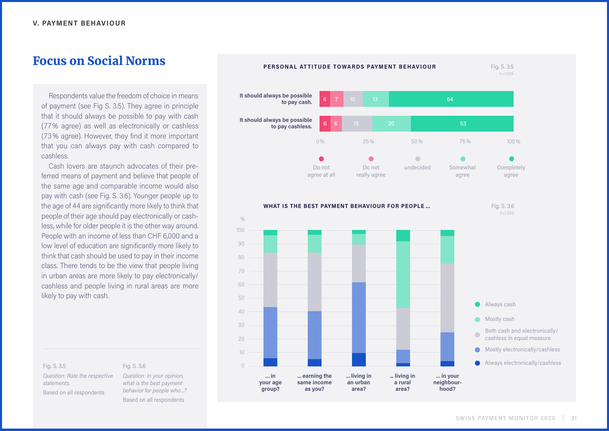### Focus on Social Norms

Respondents value the freedom of choice in means of payment (see Fig S. 3.5). They agree in principle that it should always be possible to pay with cash (77% agree) as well as electronically or cashless (73% agree). However, they find it more important that you can always pay with cash compared to cashless.

Cash lovers are staunch advocates of their preferred means of payment and believe that people of the same age and comparable income would also pay with cash (see Fig. S. 3.6). Younger people up to the age of 44 are significantly more likely to think that people of their age should pay electronically or cashless, while for older people it is the other way around. People with an income of less than CHF 6,000 and a low level of education are significantly more likely to think that cash should be used to pay in their income class. There tends to be the view that people living in urban areas are more likely to pay electronically/ cashless and people living in rural areas are more likely to pay with cash.

Fig. S. 3.5 *Question: Rate the respective statements.*  Based on all respondents

Fig. S. 3.6 *Question: In your opinion, what is the best payment behavior for people who ...?*  Based on all respondents

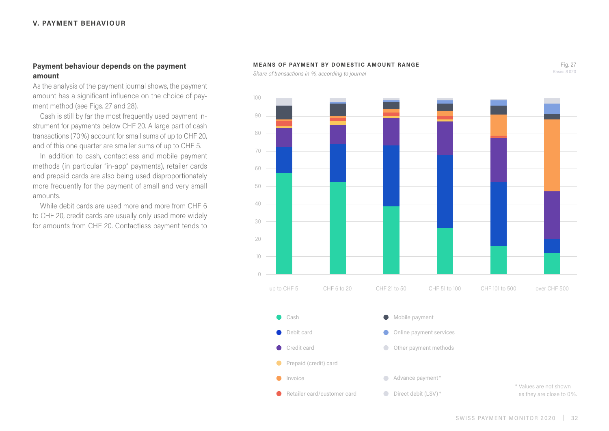#### **Payment behaviour depends on the payment amount**

As the analysis of the payment journal shows, the payment amount has a significant influence on the choice of payment method (see Figs. 27 and 28).

Cash is still by far the most frequently used payment instrument for payments below CHF 20. A large part of cash transactions (70%) account for small sums of up to CHF 20, and of this one quarter are smaller sums of up to CHF 5.

In addition to cash, contactless and mobile payment methods (in particular "in-app" payments), retailer cards and prepaid cards are also being used disproportionately more frequently for the payment of small and very small amounts.

While debit cards are used more and more from CHE 6 to CHF 20, credit cards are usually only used more widely for amounts from CHF 20. Contactless payment tends to

#### **MEANS OF PAYMENT BY DOMESTIC AMOUNT RANGE**

*Share of transactions in %, according to journal*



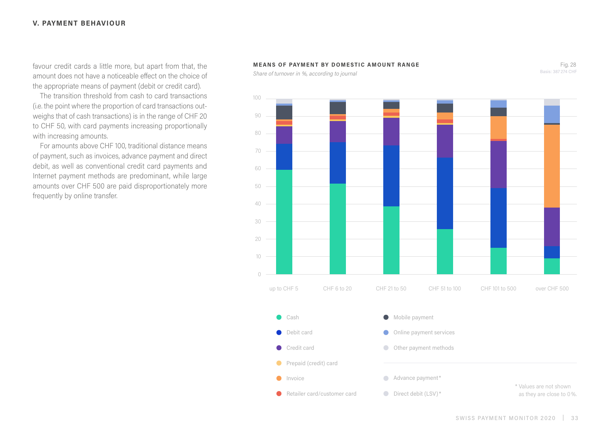#### **V. PAYMENT BEHAVIOUR**

favour credit cards a little more, but apart from that, the amount does not have a noticeable effect on the choice of the appropriate means of payment (debit or credit card).

The transition threshold from cash to card transactions (i.e. the point where the proportion of card transactions outweighs that of cash transactions) is in the range of CHF 20 to CHF 50, with card payments increasing proportionally with increasing amounts.

For amounts above CHF 100, traditional distance means of payment, such as invoices, advance payment and direct debit, as well as conventional credit card payments and Internet payment methods are predominant, while large amounts over CHF 500 are paid disproportionately more frequently by online transfer.

#### **MEANS OF PAYMENT BY DOMESTIC AMOUNT RANGE**

*Share of turnover in %, according to journal*

Fig. 28 Basis: 387 274 CHF

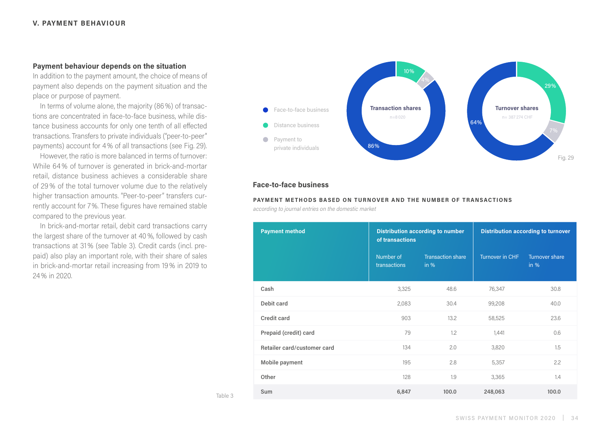#### **Payment behaviour depends on the situation**

In addition to the payment amount, the choice of means of payment also depends on the payment situation and the place or purpose of payment.

In terms of volume alone, the majority (86%) of transactions are concentrated in face-to-face business, while distance business accounts for only one tenth of all effected transactions. Transfers to private individuals ("peer-to-peer" payments) account for 4% of all transactions (see Fig. 29).

However, the ratio is more balanced in terms of turnover: While 64% of turnover is generated in brick-and-mortar retail, distance business achieves a considerable share of 29% of the total turnover volume due to the relatively higher transaction amounts. "Peer-to-peer" transfers currently account for 7%. These figures have remained stable compared to the previous year.

In brick-and-mortar retail, debit card transactions carry the largest share of the turnover at 40%, followed by cash transactions at 31% (see Table 3). Credit cards (incl. prepaid) also play an important role, with their share of sales in brick-and-mortar retail increasing from 19% in 2019 to 24% in 2020.



#### **Face-to-face business**

#### **PAYMENT METHODS BASED ON TURNOVER AND THE NUMBER OF TRANSACTIONS**

*according to journal entries on the domestic market*

|         | <b>Payment method</b>       |                           | <b>Distribution according to number</b><br>of transactions |                 | <b>Distribution according to turnover</b> |  |  |
|---------|-----------------------------|---------------------------|------------------------------------------------------------|-----------------|-------------------------------------------|--|--|
|         |                             | Number of<br>transactions | <b>Transaction share</b><br>in %                           | Turnover in CHF | Turnover share<br>in %                    |  |  |
|         | Cash                        | 3,325                     | 48.6                                                       | 76,347          | 30.8                                      |  |  |
|         | Debit card                  | 2,083                     | 30.4                                                       | 99,208          | 40.0                                      |  |  |
|         | Credit card                 | 903                       | 13.2                                                       | 58,525          | 23.6                                      |  |  |
|         | Prepaid (credit) card       | 79                        | 1.2                                                        | 1,441           | 0.6                                       |  |  |
|         | Retailer card/customer card | 134                       | 2.0                                                        | 3,820           | 1.5                                       |  |  |
|         | Mobile payment              | 195                       | 2.8                                                        | 5,357           | 2.2                                       |  |  |
|         | Other                       | 128                       | 1.9                                                        | 3,365           | 1.4                                       |  |  |
| Table 3 | Sum                         | 6,847                     | 100.0                                                      | 248,063         | 100.0                                     |  |  |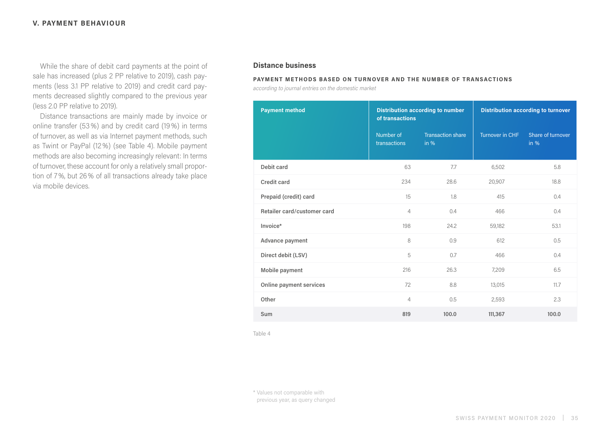#### **V. PAYMENT BEHAVIOUR**

While the share of debit card payments at the point of sale has increased (plus 2 PP relative to 2019), cash payments (less 3.1 PP relative to 2019) and credit card payments decreased slightly compared to the previous year (less 2.0 PP relative to 2019).

Distance transactions are mainly made by invoice or online transfer (53%) and by credit card (19%) in terms of turnover, as well as via Internet payment methods, such as Twint or PayPal (12%) (see Table 4). Mobile payment methods are also becoming increasingly relevant: In terms of turnover, these account for only a relatively small proportion of 7%, but 26% of all transactions already take place via mobile devices.

#### **Distance business**

#### **PAYMENT METHODS BASED ON TURNOVER AND THE NUMBER OF TRANSACTIONS**

*according to journal entries on the domestic market*

| <b>Payment method</b>       | of transactions           | <b>Distribution according to number</b> | <b>Distribution according to turnover</b> |                             |  |
|-----------------------------|---------------------------|-----------------------------------------|-------------------------------------------|-----------------------------|--|
|                             | Number of<br>transactions | <b>Transaction share</b><br>in $%$      | <b>Turnover in CHF</b>                    | Share of turnover<br>in $%$ |  |
| Debit card                  | 63                        | 7.7                                     | 6,502                                     | 5.8                         |  |
| Credit card                 | 234                       | 28.6                                    | 20,907                                    | 18.8                        |  |
| Prepaid (credit) card       | 15                        | 1.8                                     | 415                                       | 0.4                         |  |
| Retailer card/customer card | 4                         | 0.4                                     | 466                                       | 0.4                         |  |
| Invoice*                    | 198                       | 24.2                                    | 59,182                                    | 53.1                        |  |
| Advance payment             | 8                         | 0.9                                     | 612                                       | 0.5                         |  |
| Direct debit (LSV)          | 5                         | 0.7                                     | 466                                       | 0.4                         |  |
| Mobile payment              | 216                       | 26.3                                    | 7,209                                     | 6.5                         |  |
| Online payment services     | 72                        | 8.8                                     | 13,015                                    | 11.7                        |  |
| Other                       | $\overline{4}$            | 0.5                                     | 2,593                                     | 2.3                         |  |
| Sum                         | 819                       | 100.0                                   | 111,367                                   | 100.0                       |  |

Table 4

\* Values not comparable with previous year, as query changed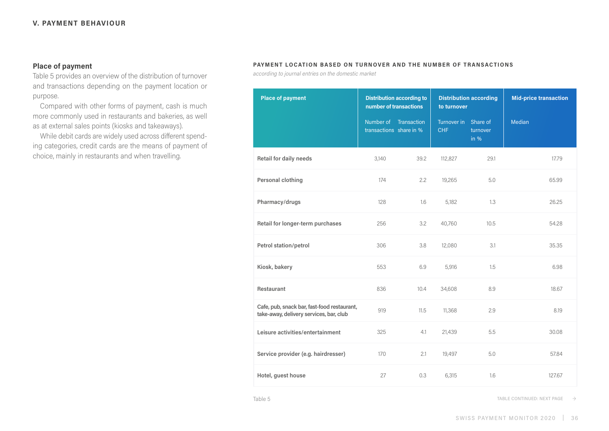#### **Place of payment**

Table 5 provides an overview of the distribution of turnover and transactions depending on the payment location or purpose.

Compared with other forms of payment, cash is much more commonly used in restaurants and bakeries, as well as at external sales points (kiosks and takeaways).

While debit cards are widely used across different spending categories, credit cards are the means of payment of choice, mainly in restaurants and when travelling.

#### **PAYMENT LOCATION BASED ON TURNOVER AND THE NUMBER OF TRANSACTIONS**

*according to journal entries on the domestic market*

| <b>Place of payment</b>                                                                | <b>Distribution according to</b><br>number of transactions |                    | <b>Distribution according</b><br>to turnover |                                | <b>Mid-price transaction</b> |  |
|----------------------------------------------------------------------------------------|------------------------------------------------------------|--------------------|----------------------------------------------|--------------------------------|------------------------------|--|
|                                                                                        | Number of<br>transactions share in %                       | <b>Transaction</b> | Turnover in<br><b>CHF</b>                    | Share of<br>turnover<br>in $%$ | <b>Median</b>                |  |
| Retail for daily needs                                                                 | 3,140                                                      | 39.2               | 112,827                                      | 29.1                           | 17.79                        |  |
| Personal clothing                                                                      | 174                                                        | 2.2                | 19,265                                       | 5.0                            | 65.99                        |  |
| Pharmacy/drugs                                                                         | 128                                                        | 1.6                | 5,182                                        | 1.3                            | 26.25                        |  |
| Retail for longer-term purchases                                                       | 256                                                        | 3.2                | 40,760                                       | 10.5                           | 54.28                        |  |
| Petrol station/petrol                                                                  | 306                                                        | 3.8                | 12,080                                       | 3.1                            | 35.35                        |  |
| Kiosk, bakery                                                                          | 553                                                        | 6.9                | 5,916                                        | 1.5                            | 6.98                         |  |
| Restaurant                                                                             | 836                                                        | 10.4               | 34,608                                       | 8.9                            | 18.67                        |  |
| Cafe, pub, snack bar, fast-food restaurant,<br>take-away, delivery services, bar, club | 919                                                        | 11.5               | 11,368                                       | 2.9                            | 8.19                         |  |
| Leisure activities/entertainment                                                       | 325                                                        | 4.1                | 21,439                                       | 5.5                            | 30.08                        |  |
| Service provider (e.g. hairdresser)                                                    | 170                                                        | 2.1                | 19,497                                       | 5.0                            | 57.84                        |  |
| Hotel, guest house                                                                     | 27                                                         | 0.3                | 6,315                                        | 1.6                            | 127.67                       |  |

Table 5 Table 5 Table 5 Table 5 Table 5 Table 5 Table 5 Table 5 Table 5 Table 5 Table 5 Table 5 Table 5 Table 5 Table 7 Table 5 Table 7 Table 5 Table 7 Table 7 Table 7 Table 7 Table 7 Table 7 Table 7 Table 7 Table 7 Table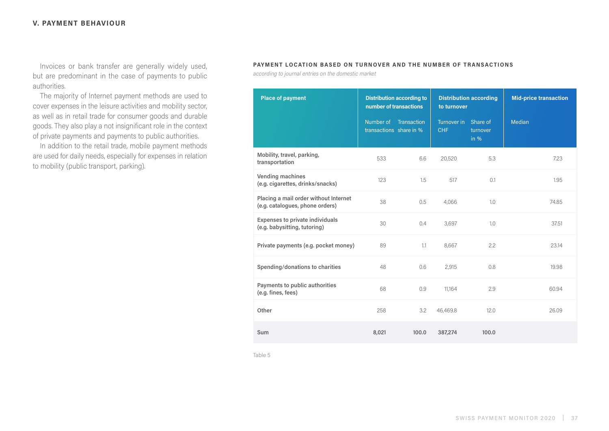#### **V. PAYMENT BEHAVIOUR**

Invoices or bank transfer are generally widely used, but are predominant in the case of payments to public authorities.

The majority of Internet payment methods are used to cover expenses in the leisure activities and mobility sector, as well as in retail trade for consumer goods and durable goods. They also play a not insignificant role in the context of private payments and payments to public authorities.

In addition to the retail trade, mobile payment methods are used for daily needs, especially for expenses in relation to mobility (public transport, parking).

#### **PAYMENT LOCATION BASED ON TURNOVER AND THE NUMBER OF TRANSACTIONS**

*according to journal entries on the domestic market*

| <b>Place of payment</b>                                                  |                                                  | <b>Distribution according to</b><br><b>Distribution according</b><br>number of transactions<br>to turnover |                                    | <b>Mid-price transaction</b> |               |
|--------------------------------------------------------------------------|--------------------------------------------------|------------------------------------------------------------------------------------------------------------|------------------------------------|------------------------------|---------------|
|                                                                          | Number of Transaction<br>transactions share in % |                                                                                                            | Turnover in Share of<br><b>CHF</b> | turnover<br>in $%$           | <b>Median</b> |
| Mobility, travel, parking,<br>transportation                             | 533                                              | 6.6                                                                                                        | 20,520                             | 5.3                          | 7.23          |
| Vending machines<br>(e.g. cigarettes, drinks/snacks)                     | 123                                              | 1.5                                                                                                        | 517                                | 0.1                          | 1.95          |
| Placing a mail order without Internet<br>(e.g. catalogues, phone orders) | 38                                               | 0.5                                                                                                        | 4,066                              | 1.0                          | 74.85         |
| <b>Expenses to private individuals</b><br>(e.g. babysitting, tutoring)   | 30                                               | 0.4                                                                                                        | 3,697                              | 1.0                          | 37.51         |
| Private payments (e.g. pocket money)                                     | 89                                               | 1.1                                                                                                        | 8,667                              | 2.2                          | 23.14         |
| Spending/donations to charities                                          | 48                                               | 0.6                                                                                                        | 2,915                              | 0.8                          | 19.98         |
| Payments to public authorities<br>(e.g. fines, fees)                     | 68                                               | 0.9                                                                                                        | 11,164                             | 2.9                          | 60.94         |
| Other                                                                    | 258                                              | 3.2                                                                                                        | 46,469.8                           | 12.0                         | 26.09         |
| Sum                                                                      | 8,021                                            | 100.0                                                                                                      | 387,274                            | 100.0                        |               |

Table 5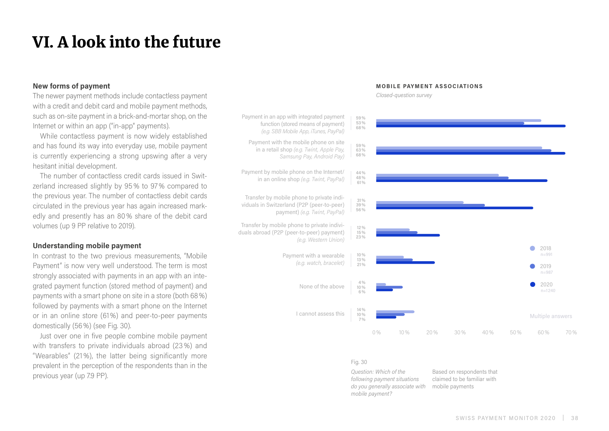# VI. A look into the future

#### **New forms of payment**

The newer payment methods include contactless payment with a credit and debit card and mobile payment methods, such as on-site payment in a brick-and-mortar shop, on the Internet or within an app ("in-app" payments).

While contactless payment is now widely established and has found its way into everyday use, mobile payment is currently experiencing a strong upswing after a very hesitant initial development.

The number of contactless credit cards issued in Switzerland increased slightly by 95% to 97% compared to the previous year. The number of contactless debit cards circulated in the previous year has again increased markedly and presently has an 80% share of the debit card volumes (up 9 PP relative to 2019).

#### **Understanding mobile payment**

In contrast to the two previous measurements, "Mobile Payment" is now very well understood. The term is most strongly associated with payments in an app with an integrated payment function (stored method of payment) and payments with a smart phone on site in a store (both 68 %) followed by payments with a smart phone on the Internet or in an online store (61%) and peer-to-peer payments domestically (56 %) (see Fig. 30).

Just over one in five people combine mobile payment with transfers to private individuals abroad (23%) and "Wearables" (21%), the latter being significantly more prevalent in the perception of the respondents than in the previous year (up 7.9 PP).



#### **MOBILE PAYMENT ASSOCIATIONS**

*Closed-question survey*

#### Fig. 30

*Question: Which of the following payment situations do you generally associate with*  mobile payments *mobile payment?*

Based on respondents that claimed to be familiar with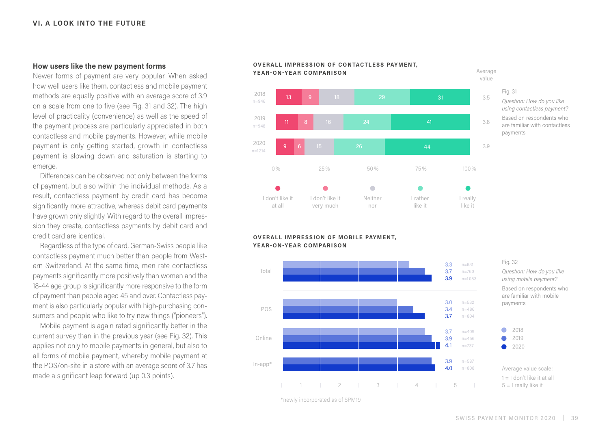#### **How users like the new payment forms**

Newer forms of payment are very popular. When asked how well users like them, contactless and mobile payment methods are equally positive with an average score of 3.9 on a scale from one to five (see Fig. 31 and 32). The high level of practicality (convenience) as well as the speed of the payment process are particularly appreciated in both contactless and mobile payments. However, while mobile payment is only getting started, growth in contactless payment is slowing down and saturation is starting to emerge.

Differences can be observed not only between the forms of payment, but also within the individual methods. As a result, contactless payment by credit card has become significantly more attractive, whereas debit card payments have grown only slightly. With regard to the overall impression they create, contactless payments by debit card and credit card are identical.

Regardless of the type of card, German-Swiss people like contactless payment much better than people from Western Switzerland. At the same time, men rate contactless payments significantly more positively than women and the 18-44 age group is significantly more responsive to the form of payment than people aged 45 and over. Contactless payment is also particularly popular with high-purchasing consumers and people who like to try new things ("pioneers").

Mobile payment is again rated significantly better in the current survey than in the previous year (see Fig. 32). This applies not only to mobile payments in general, but also to all forms of mobile payment, whereby mobile payment at the POS/on-site in a store with an average score of 3.7 has made a significant leap forward (up 0.3 points).

#### **OVERALL IMPRESSION OF CONTACTLESS PAYMENT. YEAR-ON-YEAR COMPARISON**



Average value

#### Fig. 31

*Question: How do you like using contactless payment?*  Based on respondents who are familiar with contactless payments

#### **OVERALL IMPRESSION OF MOBILE PAYMENT. YEAR-ON-YEAR COMPARISON**



\*newly incorporated as of SPM19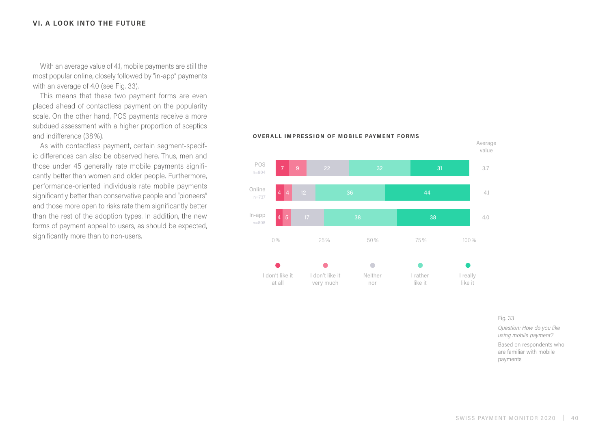With an average value of 4.1, mobile payments are still the most popular online, closely followed by "in-app" payments with an average of 4.0 (see Fig. 33).

This means that these two payment forms are even placed ahead of contactless payment on the popularity scale. On the other hand, POS payments receive a more subdued assessment with a higher proportion of sceptics and indifference (38%).

As with contactless payment, certain segment-specific differences can also be observed here. Thus, men and those under 45 generally rate mobile payments significantly better than women and older people. Furthermore, performance-oriented individuals rate mobile payments significantly better than conservative people and "pioneers" and those more open to risks rate them significantly better than the rest of the adoption types. In addition, the new forms of payment appeal to users, as should be expected, significantly more than to non-users.

#### Average value POS 7 9 22 32 32 31 3.7 n=804 Online 4.1 4 4 12 36 44 n=737 In-app **4 5 17 38 38 38 38 4.0** n=808 0% 25% 50% 75% 100%  $\blacksquare$  $\begin{array}{c} \begin{array}{c} \begin{array}{c} \begin{array}{c} \end{array} \end{array} \end{array} \end{array}$  $\bullet$  $\bullet$ I don't like it I don't like it Neither I rather I really at all very much like it like it nor

**OVERALL IMPRESSION OF MOBILE PAYMENT FORMS**

Fig. 33

*Question: How do you like using mobile payment?*  Based on respondents who are familiar with mobile

payments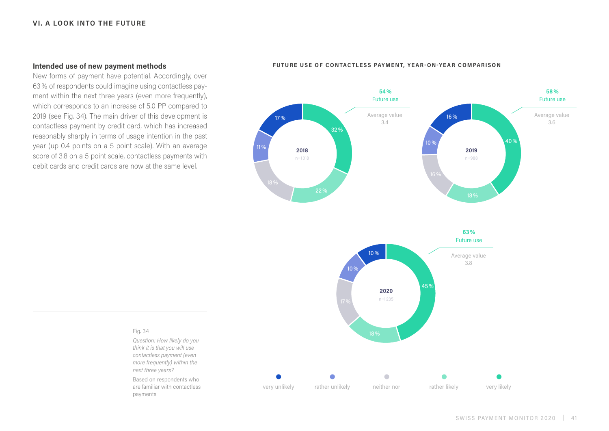#### **Intended use of new payment methods**

New forms of payment have potential. Accordingly, over 63% of respondents could imagine using contactless payment within the next three years (even more frequently), which corresponds to an increase of 5.0 PP compared to 2019 (see Fig. 34). The main driver of this development is contactless payment by credit card, which has increased reasonably sharply in terms of usage intention in the past year (up 0.4 points on a 5 point scale). With an average score of 3.8 on a 5 point scale, contactless payments with debit cards and credit cards are now at the same level.

#### **FUTURE USE OF CONTACTLESS PAYMENT, YEAR-ON-YEAR COMPARISON**



![](_page_40_Figure_5.jpeg)

# 10% Average value 10% 45% **2020** n=1 235 18%  $\bullet$

very unlikely rather unlikely neither nor rather likely very likely

#### Fig. 34

*Question: How likely do you think it is that you will use contactless payment (even more frequently) within the next three years?*

Based on respondents who are familiar with contactless payments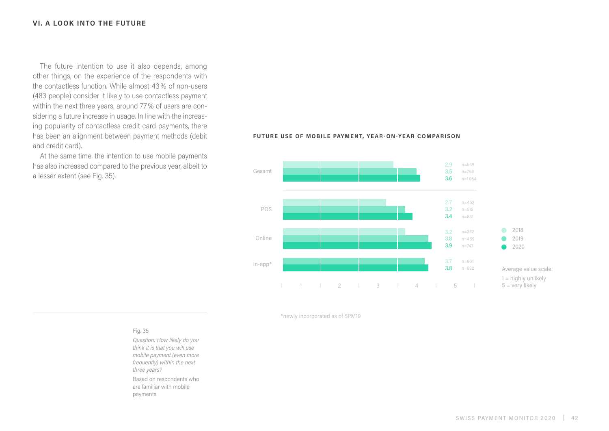The future intention to use it also depends, among other things, on the experience of the respondents with the contactless function. While almost 43% of non-users (483 people) consider it likely to use contactless payment within the next three years, around 77% of users are considering a future increase in usage. In line with the increasing popularity of contactless credit card payments, there has been an alignment between payment methods (debit and credit card).

At the same time, the intention to use mobile payments has also increased compared to the previous year, albeit to a lesser extent (see Fig. 35).

#### **FUTURE USE OF MOBILE PAYMENT, YEAR-ON-YEAR COMPARISON**

![](_page_41_Figure_4.jpeg)

\*newly incorporated as of SPM19

#### Fig. 35

*Question: How likely do you think it is that you will use mobile payment (even more frequently) within the next three years?*

Based on respondents who are familiar with mobile payments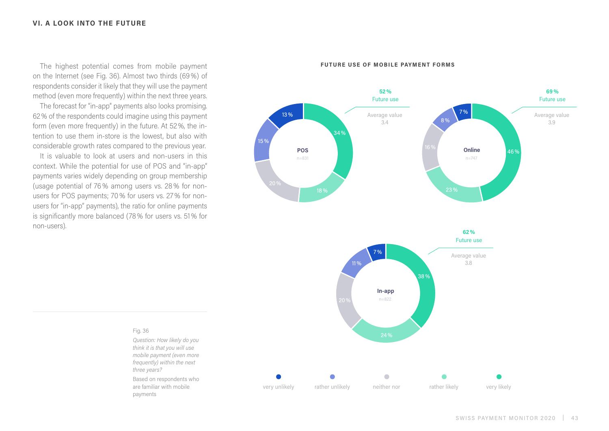The highest potential comes from mobile payment on the Internet (see Fig. 36). Almost two thirds (69%) of respondents consider it likely that they will use the payment method (even more frequently) within the next three years. The forecast for "in-app" payments also looks promising. 62% of the respondents could imagine using this payment form (even more frequently) in the future. At 52%, the intention to use them in-store is the lowest, but also with considerable growth rates compared to the previous year.

It is valuable to look at users and non-users in this context. While the potential for use of POS and "in-app" payments varies widely depending on group membership (usage potential of 76% among users vs. 28% for nonusers for POS payments; 70% for users vs. 27% for nonusers for "in-app" payments), the ratio for online payments is significantly more balanced (78% for users vs. 51% for non-users).

![](_page_42_Figure_3.jpeg)

#### **FUTURE USE OF MOBILE PAYMENT FORMS**

![](_page_42_Figure_5.jpeg)

#### Fig. 36

*Question: How likely do you think it is that you will use mobile payment (even more frequently) within the next three years?*

Based on respondents who are familiar with mobile payments

SWISS PAYMENT MONITOR 2020 | 43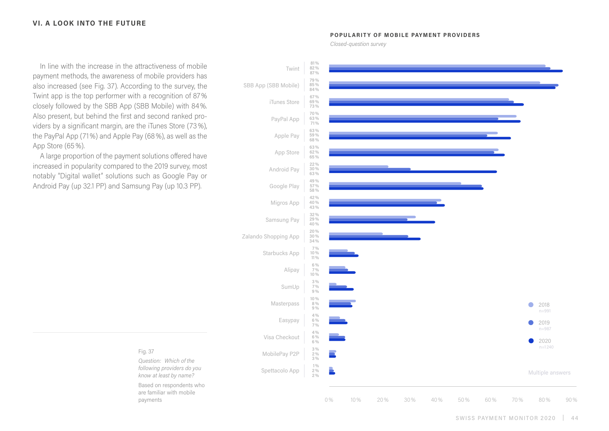In line with the increase in the attractiveness of mobile payment methods, the awareness of mobile providers has also increased (see Fig. 37). According to the survey, the Twint app is the top performer with a recognition of 87% closely followed by the SBB App (SBB Mobile) with 84%. Also present, but behind the first and second ranked providers by a significant margin, are the iTunes Store (73%), the PayPal App (71%) and Apple Pay (68%), as well as the App Store (65%).

A large proportion of the payment solutions offered have increased in popularity compared to the 2019 survey, most notably "Digital wallet" solutions such as Google Pay or Android Pay (up 32.1 PP) and Samsung Pay (up 10.3 PP).

![](_page_43_Figure_3.jpeg)

**POPUL ARIT Y OF MOBILE PAYMENT PROVIDERS**

#### Fig. 37

*Question: Which of the following providers do you know at least by name?* 

Based on respondents who are familiar with mobile payments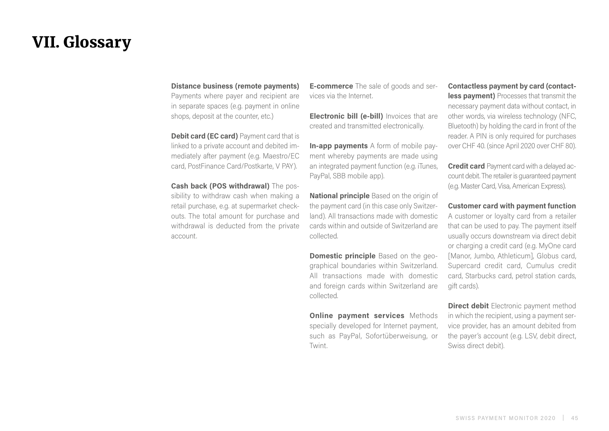## VII. Glossary

#### **Distance business (remote payments)**

Payments where payer and recipient are in separate spaces (e.g. payment in online shops, deposit at the counter, etc.)

**Debit card (EC card)** Payment card that is linked to a private account and debited immediately after payment (e.g. Maestro/EC card, PostFinance Card/Postkarte, V PAY).

**Cash back (POS withdrawal)** The possibility to withdraw cash when making a retail purchase, e.g. at supermarket checkouts. The total amount for purchase and withdrawal is deducted from the private account.

**E-commerce** The sale of goods and services via the Internet.

**Electronic bill (e-bill)** Invoices that are created and transmitted electronically.

**In-app payments** A form of mobile payment whereby payments are made using an integrated payment function (e.g. iTunes, PayPal, SBB mobile app).

**National principle** Based on the origin of the payment card (in this case only Switzerland). All transactions made with domestic cards within and outside of Switzerland are collected.

**Domestic principle** Based on the geographical boundaries within Switzerland. All transactions made with domestic and foreign cards within Switzerland are collected.

**Online payment services** Methods specially developed for Internet payment, such as PayPal, Sofortüberweisung, or Twint.

**Contactless payment by card (contactless payment)** Processes that transmit the necessary payment data without contact, in other words, via wireless technology (NFC, Bluetooth) by holding the card in front of the reader. A PIN is only required for purchases over CHF 40. (since April 2020 over CHF 80).

**Credit card** Payment card with a delayed account debit. The retailer is guaranteed payment (e.g. Master Card, Visa, American Express).

**Customer card with payment function**  A customer or loyalty card from a retailer that can be used to pay. The payment itself usually occurs downstream via direct debit or charging a credit card (e.g. MyOne card [Manor, Jumbo, Athleticum], Globus card, Supercard credit card, Cumulus credit card, Starbucks card, petrol station cards, gift cards).

**Direct debit** Electronic payment method in which the recipient, using a payment service provider, has an amount debited from the payer's account (e.g. LSV, debit direct, Swiss direct debit).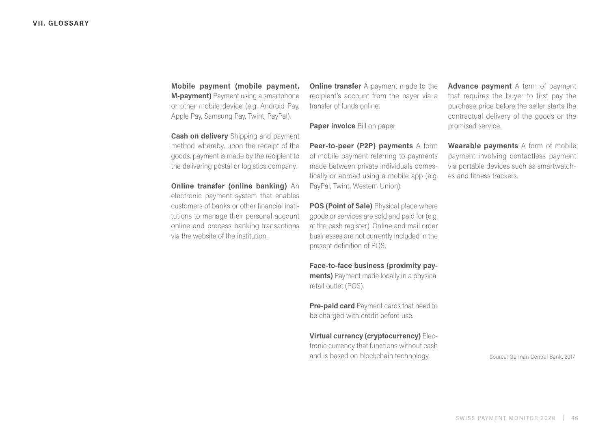**Mobile payment (mobile payment, M-payment)** Payment using a smartphone or other mobile device (e.g. Android Pay, Apple Pay, Samsung Pay, Twint, PayPal).

**Cash on delivery** Shipping and payment method whereby, upon the receipt of the goods, payment is made by the recipient to the delivering postal or logistics company.

**Online transfer (online banking)** An electronic payment system that enables customers of banks or other financial institutions to manage their personal account online and process banking transactions via the website of the institution.

**Online transfer** A payment made to the recipient's account from the payer via a transfer of funds online.

**Paper invoice** Bill on paper

**Peer-to-peer (P2P) payments** A form of mobile payment referring to payments made between private individuals domestically or abroad using a mobile app (e.g. PayPal, Twint, Western Union).

**POS (Point of Sale)** Physical place where goods or services are sold and paid for (e.g. at the cash register). Online and mail order businesses are not currently included in the present definition of POS.

**Face-to-face business (proximity payments)** Payment made locally in a physical

**Pre-paid card** Payment cards that need to

**Virtual currency (cryptocurrency)** Electronic currency that functions without cash and is based on blockchain technology.

be charged with credit before use.

retail outlet (POS).

**Advance payment** A term of payment that requires the buyer to first pay the purchase price before the seller starts the contractual delivery of the goods or the promised service.

**Wearable payments** A form of mobile payment involving contactless payment via portable devices such as smartwatches and fitness trackers.

Source: German Central Bank, 2017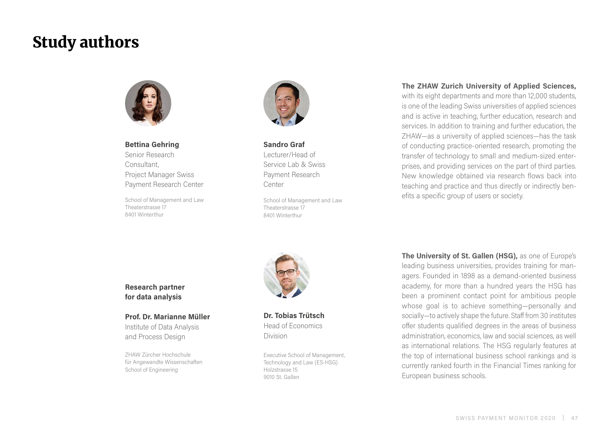### Study authors

![](_page_46_Picture_1.jpeg)

**Bettina Gehring** Senior Research **Consultant** Project Manager Swiss Payment Research Center

School of Management and Law Theaterstrasse 17 8401 Winterthur

![](_page_46_Picture_4.jpeg)

**Sandro Graf** Lecturer/Head of Service Lab & Swiss Payment Research Center

School of Management and Law Theaterstrasse 17 8401 Winterthur

#### **The ZHAW Zurich University of Applied Sciences,**

with its eight departments and more than 12,000 students, is one of the leading Swiss universities of applied sciences and is active in teaching, further education, research and services. In addition to training and further education, the ZHAW—as a university of applied sciences—has the task of conducting practice-oriented research, promoting the transfer of technology to small and medium-sized enterprises, and providing services on the part of third parties. New knowledge obtained via research flows back into teaching and practice and thus directly or indirectly benefits a specific group of users or society.

**Research partner for data analysis**

**Prof. Dr. Marianne Müller** Institute of Data Analysis and Process Design

ZHAW Zürcher Hochschule für Angewandte Wissenschaften School of Engineering

![](_page_46_Picture_12.jpeg)

**Dr. Tobias Trütsch** Head of Economics Division

Executive School of Management, Technology and Law (ES-HSG) Holzstrasse 15 9010 St. Gallen

**The University of St. Gallen (HSG),** as one of Europe's leading business universities, provides training for managers. Founded in 1898 as a demand-oriented business academy, for more than a hundred years the HSG has been a prominent contact point for ambitious people whose goal is to achieve something—personally and socially—to actively shape the future. Staff from 30 institutes offer students qualified degrees in the areas of business administration, economics, law and social sciences, as well as international relations. The HSG regularly features at the top of international business school rankings and is currently ranked fourth in the Financial Times ranking for European business schools.